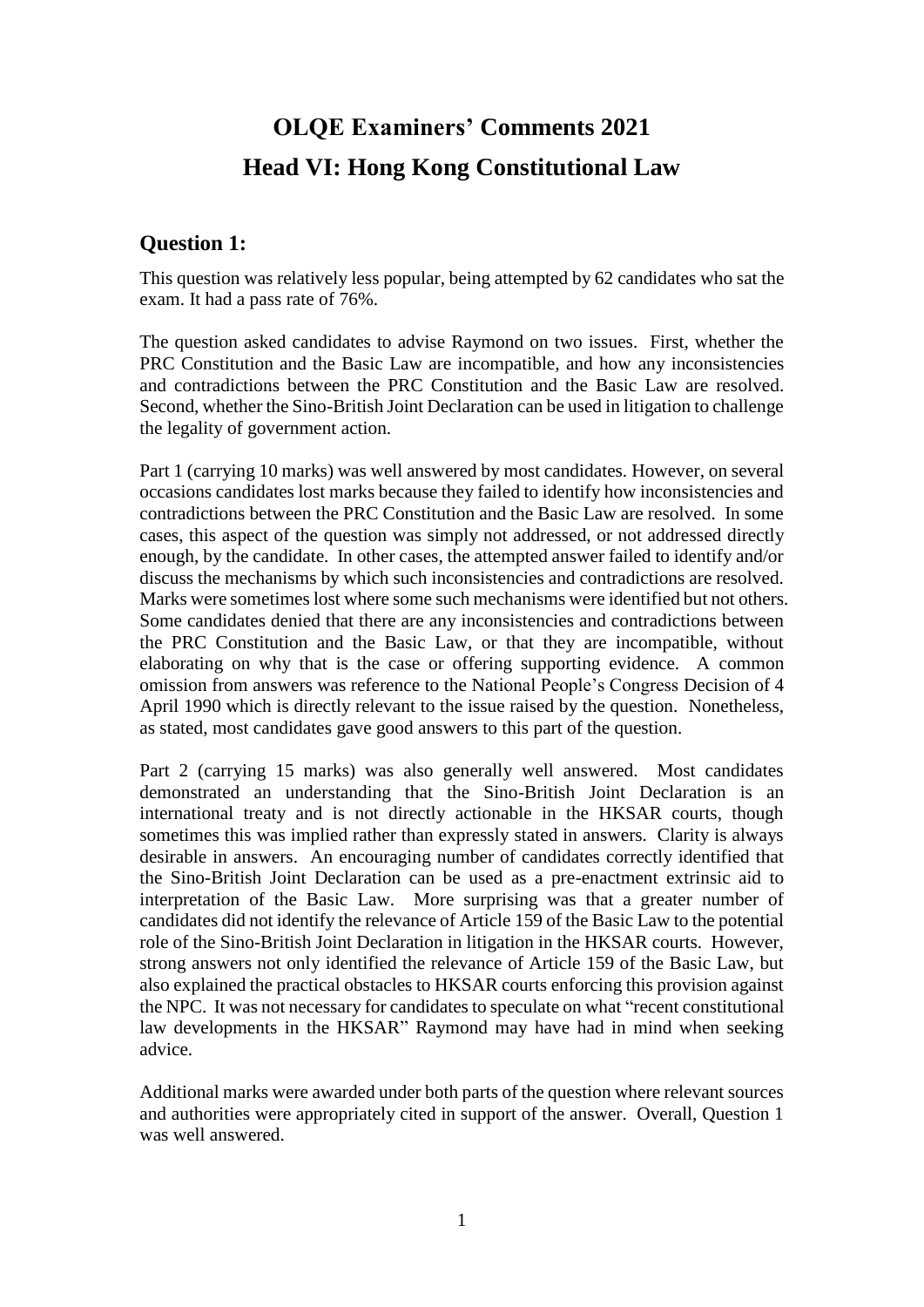# **OLQE Examiners' Comments 2021 Head VI: Hong Kong Constitutional Law**

#### **Question 1:**

This question was relatively less popular, being attempted by 62 candidates who sat the exam. It had a pass rate of 76%.

The question asked candidates to advise Raymond on two issues. First, whether the PRC Constitution and the Basic Law are incompatible, and how any inconsistencies and contradictions between the PRC Constitution and the Basic Law are resolved. Second, whether the Sino-British Joint Declaration can be used in litigation to challenge the legality of government action.

Part 1 (carrying 10 marks) was well answered by most candidates. However, on several occasions candidates lost marks because they failed to identify how inconsistencies and contradictions between the PRC Constitution and the Basic Law are resolved. In some cases, this aspect of the question was simply not addressed, or not addressed directly enough, by the candidate. In other cases, the attempted answer failed to identify and/or discuss the mechanisms by which such inconsistencies and contradictions are resolved. Marks were sometimes lost where some such mechanisms were identified but not others. Some candidates denied that there are any inconsistencies and contradictions between the PRC Constitution and the Basic Law, or that they are incompatible, without elaborating on why that is the case or offering supporting evidence. A common omission from answers was reference to the National People's Congress Decision of 4 April 1990 which is directly relevant to the issue raised by the question. Nonetheless, as stated, most candidates gave good answers to this part of the question.

Part 2 (carrying 15 marks) was also generally well answered. Most candidates demonstrated an understanding that the Sino-British Joint Declaration is an international treaty and is not directly actionable in the HKSAR courts, though sometimes this was implied rather than expressly stated in answers. Clarity is always desirable in answers. An encouraging number of candidates correctly identified that the Sino-British Joint Declaration can be used as a pre-enactment extrinsic aid to interpretation of the Basic Law. More surprising was that a greater number of candidates did not identify the relevance of Article 159 of the Basic Law to the potential role of the Sino-British Joint Declaration in litigation in the HKSAR courts. However, strong answers not only identified the relevance of Article 159 of the Basic Law, but also explained the practical obstacles to HKSAR courts enforcing this provision against the NPC. It was not necessary for candidates to speculate on what "recent constitutional law developments in the HKSAR" Raymond may have had in mind when seeking advice.

Additional marks were awarded under both parts of the question where relevant sources and authorities were appropriately cited in support of the answer. Overall, Question 1 was well answered.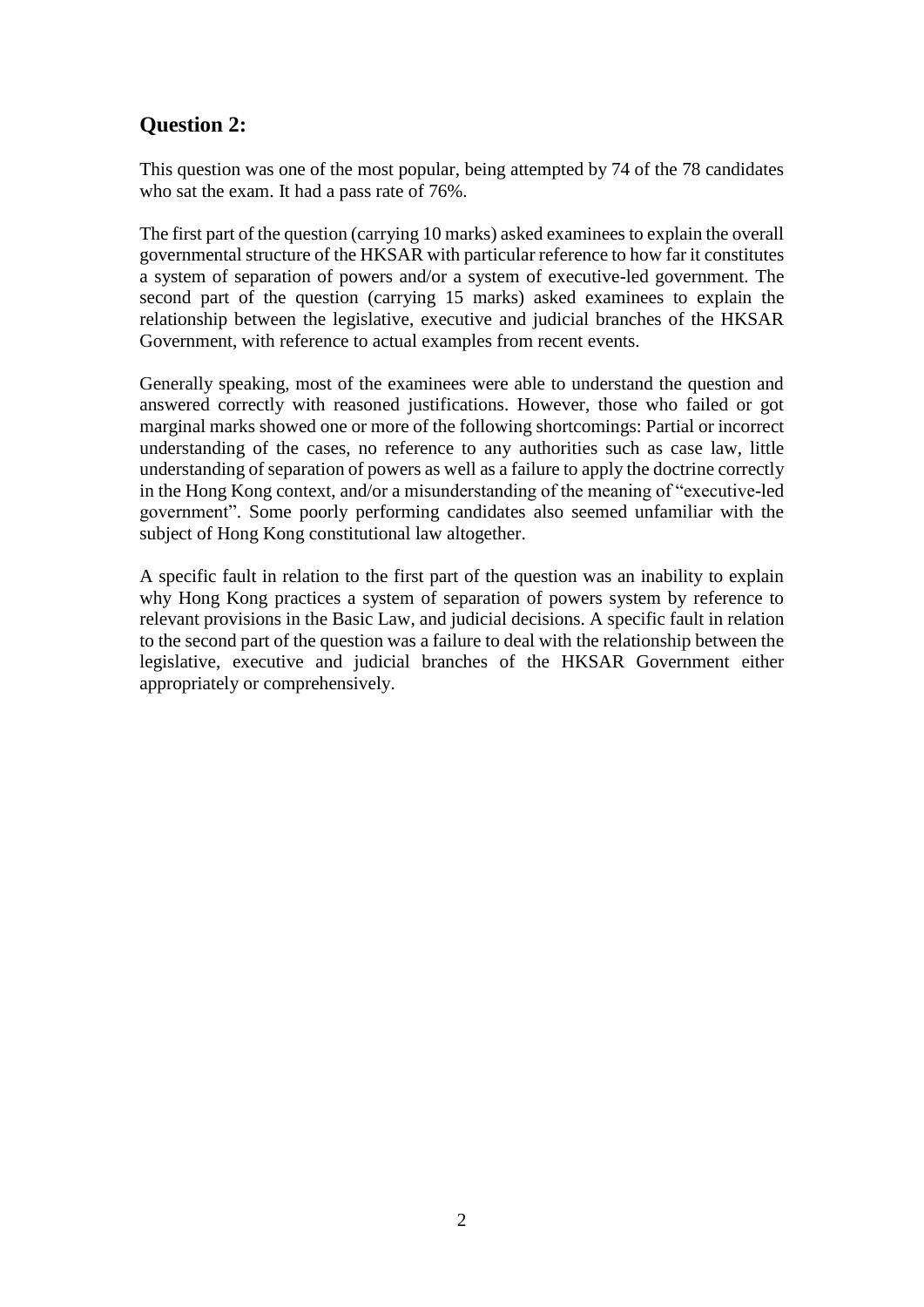#### **Question 2:**

This question was one of the most popular, being attempted by 74 of the 78 candidates who sat the exam. It had a pass rate of 76%.

The first part of the question (carrying 10 marks) asked examinees to explain the overall governmental structure of the HKSAR with particular reference to how far it constitutes a system of separation of powers and/or a system of executive-led government. The second part of the question (carrying 15 marks) asked examinees to explain the relationship between the legislative, executive and judicial branches of the HKSAR Government, with reference to actual examples from recent events.

Generally speaking, most of the examinees were able to understand the question and answered correctly with reasoned justifications. However, those who failed or got marginal marks showed one or more of the following shortcomings: Partial or incorrect understanding of the cases, no reference to any authorities such as case law, little understanding of separation of powers as well as a failure to apply the doctrine correctly in the Hong Kong context, and/or a misunderstanding of the meaning of "executive-led government". Some poorly performing candidates also seemed unfamiliar with the subject of Hong Kong constitutional law altogether.

A specific fault in relation to the first part of the question was an inability to explain why Hong Kong practices a system of separation of powers system by reference to relevant provisions in the Basic Law, and judicial decisions. A specific fault in relation to the second part of the question was a failure to deal with the relationship between the legislative, executive and judicial branches of the HKSAR Government either appropriately or comprehensively.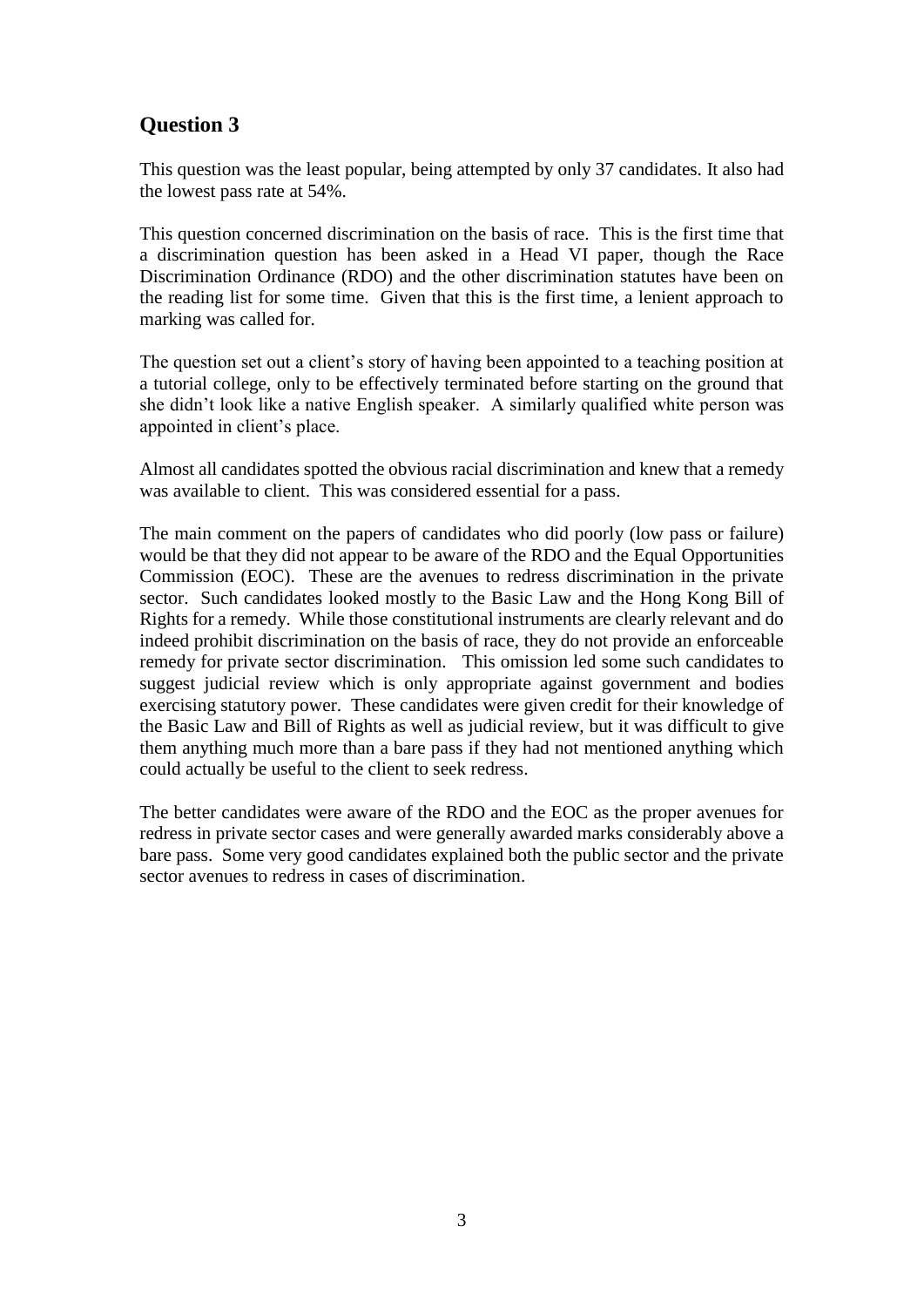## **Question 3**

This question was the least popular, being attempted by only 37 candidates. It also had the lowest pass rate at 54%.

This question concerned discrimination on the basis of race. This is the first time that a discrimination question has been asked in a Head VI paper, though the Race Discrimination Ordinance (RDO) and the other discrimination statutes have been on the reading list for some time. Given that this is the first time, a lenient approach to marking was called for.

The question set out a client's story of having been appointed to a teaching position at a tutorial college, only to be effectively terminated before starting on the ground that she didn't look like a native English speaker. A similarly qualified white person was appointed in client's place.

Almost all candidates spotted the obvious racial discrimination and knew that a remedy was available to client. This was considered essential for a pass.

The main comment on the papers of candidates who did poorly (low pass or failure) would be that they did not appear to be aware of the RDO and the Equal Opportunities Commission (EOC). These are the avenues to redress discrimination in the private sector. Such candidates looked mostly to the Basic Law and the Hong Kong Bill of Rights for a remedy. While those constitutional instruments are clearly relevant and do indeed prohibit discrimination on the basis of race, they do not provide an enforceable remedy for private sector discrimination. This omission led some such candidates to suggest judicial review which is only appropriate against government and bodies exercising statutory power. These candidates were given credit for their knowledge of the Basic Law and Bill of Rights as well as judicial review, but it was difficult to give them anything much more than a bare pass if they had not mentioned anything which could actually be useful to the client to seek redress.

The better candidates were aware of the RDO and the EOC as the proper avenues for redress in private sector cases and were generally awarded marks considerably above a bare pass. Some very good candidates explained both the public sector and the private sector avenues to redress in cases of discrimination.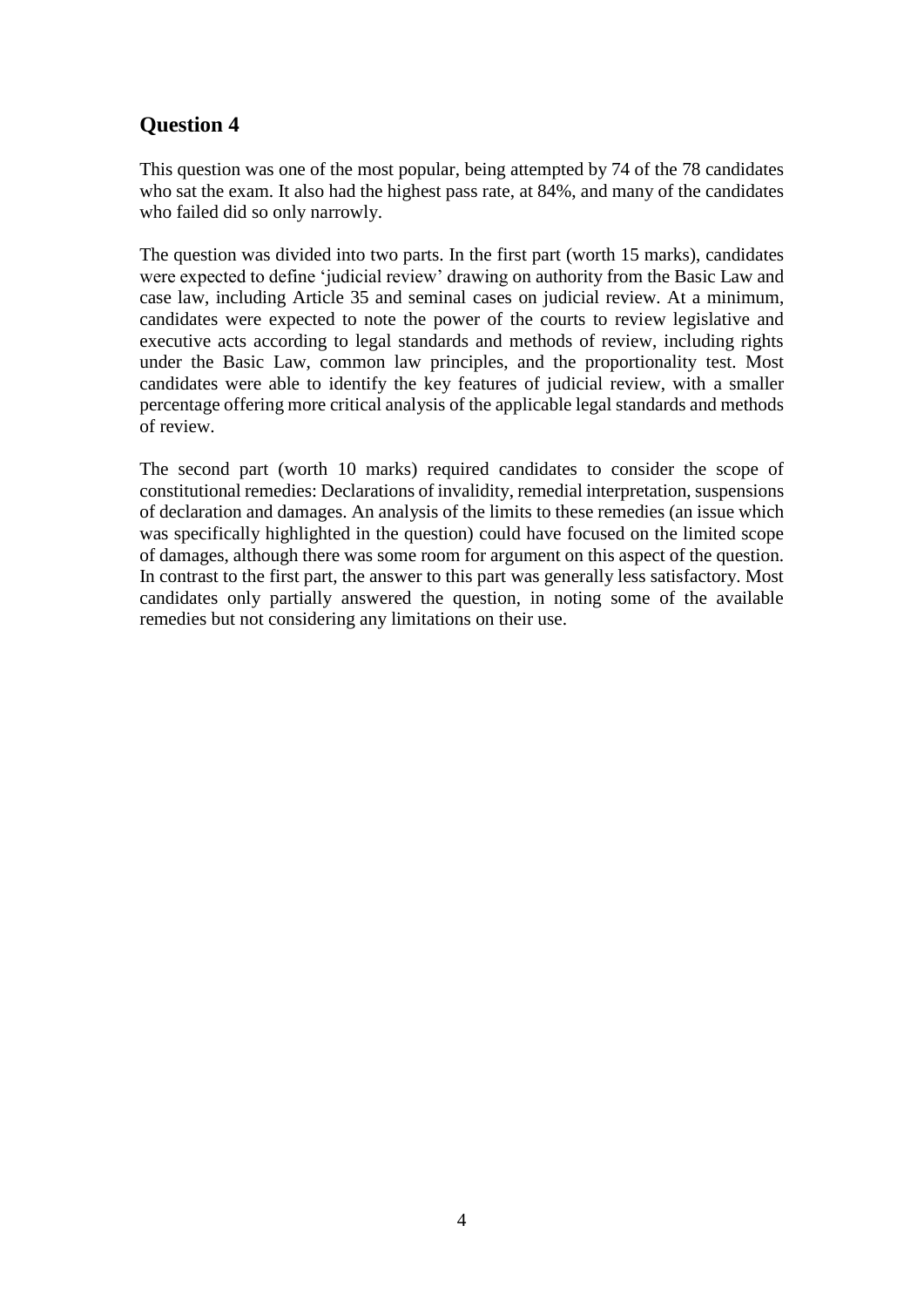## **Question 4**

This question was one of the most popular, being attempted by 74 of the 78 candidates who sat the exam. It also had the highest pass rate, at 84%, and many of the candidates who failed did so only narrowly.

The question was divided into two parts. In the first part (worth 15 marks), candidates were expected to define 'judicial review' drawing on authority from the Basic Law and case law, including Article 35 and seminal cases on judicial review. At a minimum, candidates were expected to note the power of the courts to review legislative and executive acts according to legal standards and methods of review, including rights under the Basic Law, common law principles, and the proportionality test. Most candidates were able to identify the key features of judicial review, with a smaller percentage offering more critical analysis of the applicable legal standards and methods of review.

The second part (worth 10 marks) required candidates to consider the scope of constitutional remedies: Declarations of invalidity, remedial interpretation, suspensions of declaration and damages. An analysis of the limits to these remedies (an issue which was specifically highlighted in the question) could have focused on the limited scope of damages, although there was some room for argument on this aspect of the question. In contrast to the first part, the answer to this part was generally less satisfactory. Most candidates only partially answered the question, in noting some of the available remedies but not considering any limitations on their use.